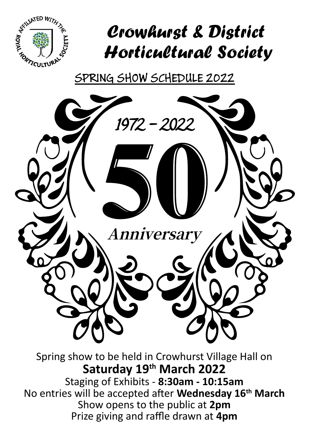

# Crowhurst & District Horticultural Society

SPRING SHOW SCHEDULE 2022



Staging of Exhibits - **8:30am - 10:15am** No entries will be accepted after **Wednesday 16th March** Show opens to the public at **2pm** Prize giving and raffle drawn at **4pm**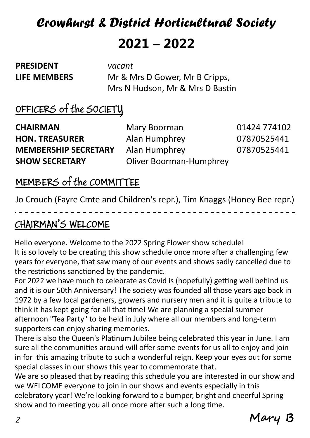# Crowhurst & District Horticultural Society **2021 – 2022**

**PRESIDENT** *vacant*

**LIFE MEMBERS** Mr & Mrs D Gower, Mr B Cripps, Mrs N Hudson, Mr & Mrs D Bastin

## OFFICERS of the SOCIETY

**CHAIRMAN** Mary Boorman 01424 774102 **HON. TREASURER** Alan Humphrey 07870525441 **MEMBERSHIP SECRETARY** Alan Humphrey 07870525441 **SHOW SECRETARY** Oliver Boorman-Humphrey

### MEMBERS of the COMMITTEE

Jo Crouch (Fayre Cmte and Children's repr.), Tim Knaggs (Honey Bee repr.)

## CHAIRMAN'S WELCOME

Hello everyone. Welcome to the 2022 Spring Flower show schedule! It is so lovely to be creating this show schedule once more after a challenging few years for everyone, that saw many of our events and shows sadly cancelled due to the restrictions sanctioned by the pandemic.

For 2022 we have much to celebrate as Covid is (hopefully) getting well behind us and it is our 50th Anniversary! The society was founded all those years ago back in 1972 by a few local gardeners, growers and nursery men and it is quite a tribute to think it has kept going for all that time! We are planning a special summer afternoon "Tea Party" to be held in July where all our members and long-term supporters can enjoy sharing memories.

There is also the Queen's Platinum Jubilee being celebrated this year in June. I am sure all the communities around will offer some events for us all to enjoy and join in for this amazing tribute to such a wonderful reign. Keep your eyes out for some special classes in our shows this year to commemorate that.

We are so pleased that by reading this schedule you are interested in our show and we WELCOME everyone to join in our shows and events especially in this celebratory year! We're looking forward to a bumper, bright and cheerful Spring show and to meeting you all once more after such a long time.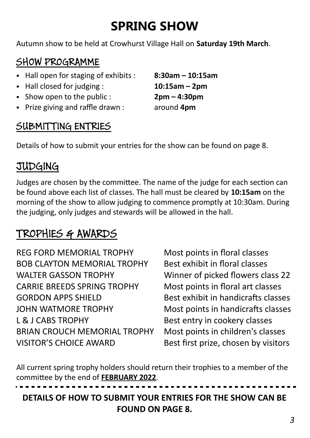# **SPRING SHOW**

Autumn show to be held at Crowhurst Village Hall on **Saturday 19th March**.

## SHOW PROGRAMME

- Hall open for staging of exhibits : **8:30am 10:15am**
- Hall closed for judging : **10:15am 2pm**
- Show open to the public : **2pm 4:30pm**
- Prize giving and raffle drawn : around **4pm**

### SUBMITTING ENTRIES

Details of how to submit your entries for the show can be found on page 8.

## **JUDGING**

Judges are chosen by the committee. The name of the judge for each section can be found above each list of classes. The hall must be cleared by **10:15am** on the morning of the show to allow judging to commence promptly at 10:30am. During the judging, only judges and stewards will be allowed in the hall.

## TROPHIES & AWARDS

REG FORD MEMORIAL TROPHY Most points in floral classes BOB CLAYTON MEMORIAL TROPHY Best exhibit in floral classes WALTER GASSON TROPHY Winner of picked flowers class 22 CARRIE BREEDS SPRING TROPHY Most points in floral art classes GORDON APPS SHIELD Best exhibit in handicrafts classes JOHN WATMORE TROPHY Most points in handicrafts classes L & J CABS TROPHY Best entry in cookery classes BRIAN CROUCH MEMORIAL TROPHY Most points in children's classes VISITOR'S CHOICE AWARD Best first prize, chosen by visitors

All current spring trophy holders should return their trophies to a member of the committee by the end of **FEBRUARY 2022**.

**DETAILS OF HOW TO SUBMIT YOUR ENTRIES FOR THE SHOW CAN BE FOUND ON PAGE 8.**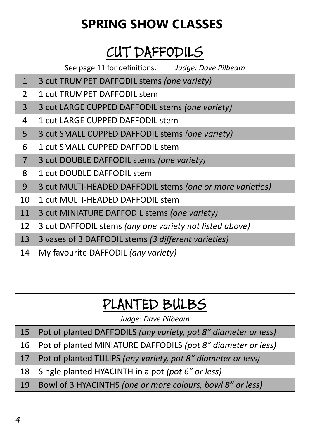# **SPRING SHOW CLASSES**

# CUT DAFFODILS

See page 11 for definitions. *Judge: Dave Pilbeam*

- 3 cut TRUMPET DAFFODIL stems *(one variety)*
- 2 1 cut TRUMPFT DAFFODIL stem
- 3 cut LARGE CUPPED DAFFODIL stems *(one variety)*
- 1 cut LARGE CUPPED DAFFODIL stem
- 3 cut SMALL CUPPED DAFFODIL stems *(one variety)*
- 1 cut SMALL CUPPED DAFFODIL stem
- 3 cut DOUBLE DAFFODIL stems *(one variety)*
- 1 cut DOUBLE DAFFODIL stem
- 3 cut MULTI-HEADED DAFFODIL stems *(one or more varieties)*
- 1 cut MULTI-HEADED DAFFODIL stem
- 3 cut MINIATURE DAFFODIL stems *(one variety)*
- 3 cut DAFFODIL stems *(any one variety not listed above)*
- 3 vases of 3 DAFFODIL stems *(3 different varieties)*
- My favourite DAFFODIL *(any variety)*

# PLANTED BULBS

*Judge: Dave Pilbeam*

- Pot of planted DAFFODILS *(any variety, pot 8" diameter or less)*
- Pot of planted MINIATURE DAFFODILS *(pot 8" diameter or less)*
- Pot of planted TULIPS *(any variety, pot 8" diameter or less)*
- Single planted HYACINTH in a pot *(pot 6" or less)*
- Bowl of 3 HYACINTHS *(one or more colours, bowl 8" or less)*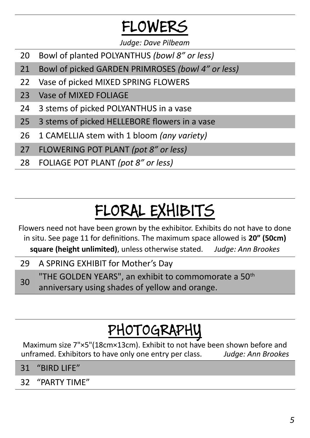# FLOWERS

*Judge: Dave Pilbeam*

- 20 Bowl of planted POLYANTHUS *(bowl 8" or less)*
- 21 Bowl of picked GARDEN PRIMROSES *(bowl 4" or less)*
- 22 Vase of picked MIXED SPRING FLOWERS
- 23 Vase of MIXED FOLIAGE
- 24 3 stems of picked POLYANTHUS in a vase
- 25 3 stems of picked HELLEBORE flowers in a vase
- 26 1 CAMELLIA stem with 1 bloom *(any variety)*
- 27 FLOWERING POT PLANT *(pot 8" or less)*
- 28 FOLIAGE POT PLANT *(pot 8" or less)*

# FLORAL EXHIBITS

Flowers need not have been grown by the exhibitor. Exhibits do not have to done in situ. See page 11 for definitions. The maximum space allowed is **20" (50cm) square (height unlimited)**, unless otherwise stated. *Judge: Ann Brookes*

- 29 A SPRING EXHIBIT for Mother's Day
- 30 "THE GOLDEN YEARS", an exhibit to commomorate a 50<sup>th</sup> anniversary using shades of yellow and orange.

# PHOTOGRAPHY

Maximum size 7"×5"(18cm×13cm). Exhibit to not have been shown before and<br>unframed. Exhibitors to have only one entry per class. Judge: Ann Brookes unframed. Exhibitors to have only one entry per class.

- 31 "BIRD LIFE"
- 32 "PARTY TIME"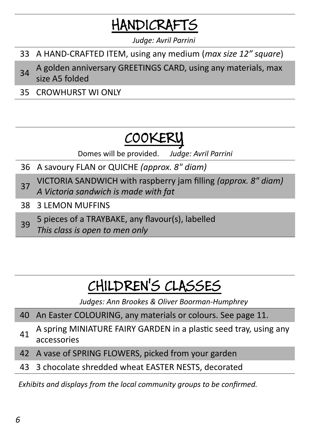# HANDICRAFTS

*Judge: Avril Parrini*

- 33 A HAND-CRAFTED ITEM, using any medium (*max size 12" square*)
- 34 A golden anniversary GREETINGS CARD, using any materials, max size A5 folded
- 35 CROWHURST WI ONLY

# COOKER

Domes will be provided. *Judge: Avril Parrini*

- 36 A savoury FLAN or QUICHE *(approx. 8" diam)*
- <sup>37</sup> VICTORIA SANDWICH with raspberry jam filling *(approx. 8" diam) A Victoria sandwich is made with fat*
- 38 3 LEMON MUFFINS
- 39 5 pieces of a TRAYBAKE, any flavour(s), labelled *This class is open to men only*

# CHILDREN'S CLASSES

*Judges: Ann Brookes & Oliver Boorman-Humphrey*

- 40 An Easter COLOURING, any materials or colours. See page 11.
- 41 A spring MINIATURE FAIRY GARDEN in a plastic seed tray, using any accessories
- 42 A vase of SPRING FLOWERS, picked from your garden
- 43 3 chocolate shredded wheat EASTER NESTS, decorated

*Exhibits and displays from the local community groups to be confirmed.*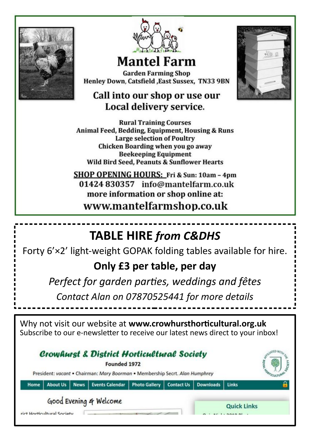



# **Mantel Farm**

**Garden Farming Shop** Henley Down, Catsfield , East Sussex, TN33 9BN

#### Call into our shop or use our Local delivery service.

**Rural Training Courses** Animal Feed, Bedding, Equipment, Housing & Runs **Large selection of Poultry** Chicken Boarding when you go away **Beekeeping Equipment Wild Bird Seed, Peanuts & Sunflower Hearts** 

SHOP OPENING HOURS: Fri & Sun: 10am - 4pm 01424 830357 info@mantelfarm.co.uk more information or shop online at:

www.mantelfarmshop.co.uk

## **TABLE HIRE** *from C&DHS*

Forty 6'×2' light-weight GOPAK folding tables available for hire.

### **Only £3 per table, per day**

*Perfect for garden parties, weddings and fêtes*

*Contact Alan on 07870525441 for more details*

Why not visit our website at **www.crowhursthorticultural.org.uk** Subscribe to our e-newsletter to receive our latest news direct to your inbox!

|      |                            |             | <b>Crowhurst &amp; District Horticultural Society</b><br>Founded 1972<br>President: vacant . Chairman: Mary Boorman . Membership Secrt. Alan Humphrey |                      |                   |                  |                    |  |
|------|----------------------------|-------------|-------------------------------------------------------------------------------------------------------------------------------------------------------|----------------------|-------------------|------------------|--------------------|--|
| Home | <b>About Us</b>            | <b>News</b> | <b>Events Calendar</b>                                                                                                                                | <b>Photo Gallery</b> | <b>Contact Us</b> | <b>Downloads</b> | Links              |  |
|      | rict Horticultural Society |             | Good Evening & Welcome                                                                                                                                |                      |                   |                  | <b>Quick Links</b> |  |

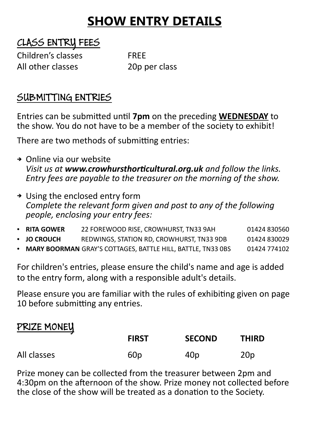## **SHOW ENTRY DETAILS**

### CLASS ENTRY FEES

Children's classes FREE All other classes and the 20p per class

### SUBMITTING ENTRIES

Entries can be submitted until **7pm** on the preceding **WEDNESDAY** to the show. You do not have to be a member of the society to exhibit!

There are two methods of submitting entries:

- ➔ Online via our website *Visit us at www.crowhursthorticultural.org.uk and follow the links. Entry fees are payable to the treasurer on the morning of the show.*
- ➔ Using the enclosed entry form *Complete the relevant form given and post to any of the following people, enclosing your entry fees:*
- **RITA GOWER** 22 FOREWOOD RISE, CROWHURST, TN33 9AH 01424 830560 **JO CROUCH** REDWINGS, STATION RD, CROWHURST, TN33 9DB 01424 830029 **MARY BOORMAN** GRAY'S COTTAGES, BATTLE HILL, BATTLE, TN33 0BS 01424 774102

For children's entries, please ensure the child's name and age is added to the entry form, along with a responsible adult's details.

Please ensure you are familiar with the rules of exhibiting given on page 10 before submitting any entries.

#### PRIZE MONEY

|             | <b>FIRST</b>    | <b>SECOND</b> | <b>THIRD</b>    |
|-------------|-----------------|---------------|-----------------|
| All classes | 60 <sub>p</sub> | 40p           | 20 <sub>p</sub> |

Prize money can be collected from the treasurer between 2pm and 4:30pm on the afternoon of the show. Prize money not collected before the close of the show will be treated as a donation to the Society.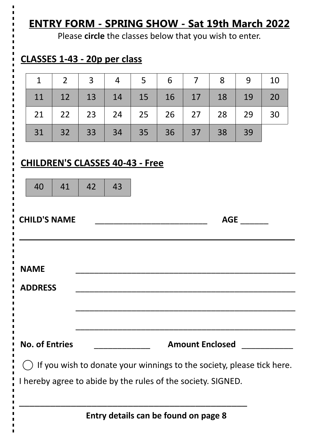## **ENTRY FORM - SPRING SHOW - Sat 19th March 2022**

Please **circle** the classes below that you wish to enter.

### **CLASSES 1-43 - 20p per class**

|  |  | $1 \mid 2 \mid 3 \mid 4 \mid 5 \mid 6 \mid 7 \mid 8 \mid 9 \mid 10$ |  |  |
|--|--|---------------------------------------------------------------------|--|--|
|  |  | $11$   12   13   14   15   16   17   18   19   20                   |  |  |
|  |  | 21   22   23   24   25   26   27   28   29   30                     |  |  |
|  |  | 31 32 33 34 35 36 37 38 39                                          |  |  |

#### **CHILDREN'S CLASSES 40-43 - Free**

|             | 40             | 41                    | 42 | 43 |                                                                                                                                       |
|-------------|----------------|-----------------------|----|----|---------------------------------------------------------------------------------------------------------------------------------------|
|             |                | <b>CHILD'S NAME</b>   |    |    | AGE<br><u> 1980 - Johann John Stone, mars et al. (b. 1980)</u>                                                                        |
| <b>NAME</b> | <b>ADDRESS</b> |                       |    |    |                                                                                                                                       |
|             |                | <b>No. of Entries</b> |    |    | <b>Amount Enclosed Amount Enclosed</b>                                                                                                |
|             |                |                       |    |    | If you wish to donate your winnings to the society, please tick here.<br>I hereby agree to abide by the rules of the society. SIGNED. |
|             |                |                       |    |    | Entry details can be found on page 8                                                                                                  |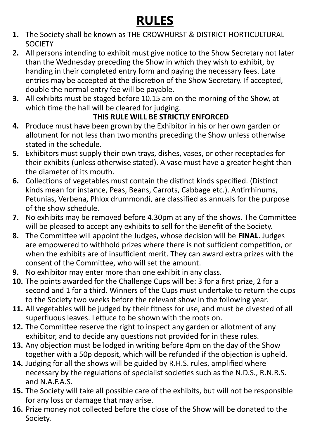# **RULES**

- **1.** The Society shall be known as THE CROWHURST & DISTRICT HORTICULTURAL **SOCIETY**
- **2.** All persons intending to exhibit must give notice to the Show Secretary not later than the Wednesday preceding the Show in which they wish to exhibit, by handing in their completed entry form and paying the necessary fees. Late entries may be accepted at the discretion of the Show Secretary. If accepted, double the normal entry fee will be payable.
- **3.** All exhibits must be staged before 10.15 am on the morning of the Show, at which time the hall will be cleared for judging.

#### **THIS RULE WILL BE STRICTLY ENFORCED**

- **4.** Produce must have been grown by the Exhibitor in his or her own garden or allotment for not less than two months preceding the Show unless otherwise stated in the schedule.
- **5.** Exhibitors must supply their own trays, dishes, vases, or other receptacles for their exhibits (unless otherwise stated). A vase must have a greater height than the diameter of its mouth.
- **6.** Collections of vegetables must contain the distinct kinds specified. (Distinct kinds mean for instance, Peas, Beans, Carrots, Cabbage etc.). Antirrhinums, Petunias, Verbena, Phlox drummondi, are classified as annuals for the purpose of the show schedule.
- **7.** No exhibits may be removed before 4.30pm at any of the shows. The Committee will be pleased to accept any exhibits to sell for the Benefit of the Society.
- **8.** The Committee will appoint the Judges, whose decision will be **FINAL**. Judges are empowered to withhold prizes where there is not sufficient competition, or when the exhibits are of insufficient merit. They can award extra prizes with the consent of the Committee, who will set the amount.
- **9.** No exhibitor may enter more than one exhibit in any class.
- **10.** The points awarded for the Challenge Cups will be: 3 for a first prize, 2 for a second and 1 for a third. Winners of the Cups must undertake to return the cups to the Society two weeks before the relevant show in the following year.
- **11.** All vegetables will be judged by their fitness for use, and must be divested of all superfluous leaves. Lettuce to be shown with the roots on.
- **12.** The Committee reserve the right to inspect any garden or allotment of any exhibitor, and to decide any questions not provided for in these rules.
- **13.** Any objection must be lodged in writing before 4pm on the day of the Show together with a 50p deposit, which will be refunded if the objection is upheld.
- **14.** Judging for all the shows will be guided by R.H.S. rules, amplified where necessary by the regulations of specialist societies such as the N.D.S., R.N.R.S. and N.A.F.A.S.
- **15.** The Society will take all possible care of the exhibits, but will not be responsible for any loss or damage that may arise.
- **16.** Prize money not collected before the close of the Show will be donated to the Society.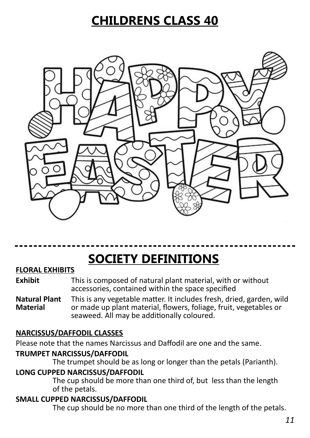## **CHILDRENS CLASS 40**



# **SOCIETY DEFINITIONS**

#### **FLORAL EXHIBITS**

**Exhibit** This is composed of natural plant material, with or without accessories, contained within the space specified

**Natural Plant** This is any vegetable matter. It includes fresh, dried, garden, wild or made up plant material, flowers, foliage, fruit, vegetables or seaweed. All may be additionally coloured.

#### **NARCISSUS/DAFFODIL CLASSES**

Please note that the names Narcissus and Daffodil are one and the same.

#### **TRUMPET NARCISSUS/DAFFODIL**

The trumpet should be as long or longer than the petals (Parianth).

#### **LONG CUPPED NARCISSUS/DAFFODIL**

The cup should be more than one third of, but less than the length of the petals.

#### **SMALL CUPPED NARCISSUS/DAFFODIL**

The cup should be no more than one third of the length of the petals.